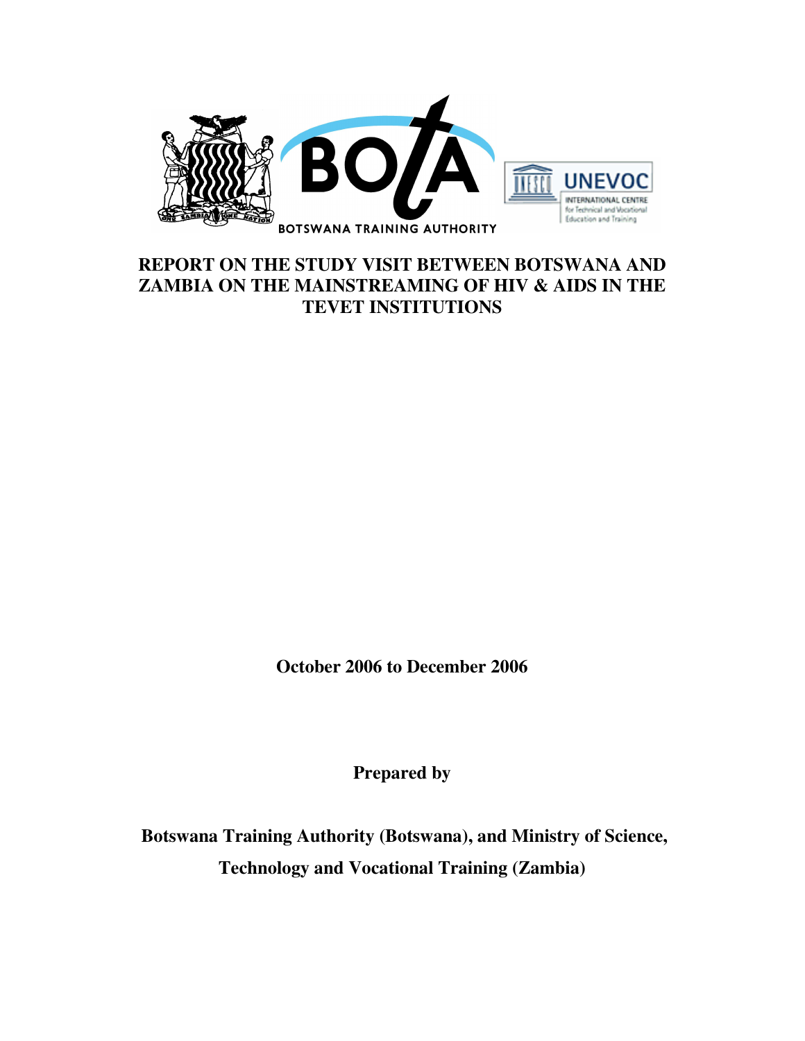

### **REPORT ON THE STUDY VISIT BETWEEN BOTSWANA AND ZAMBIA ON THE MAINSTREAMING OF HIV & AIDS IN THE TEVET INSTITUTIONS**

**October 2006 to December 2006** 

**Prepared by** 

 **Botswana Training Authority (Botswana), and Ministry of Science, Technology and Vocational Training (Zambia)**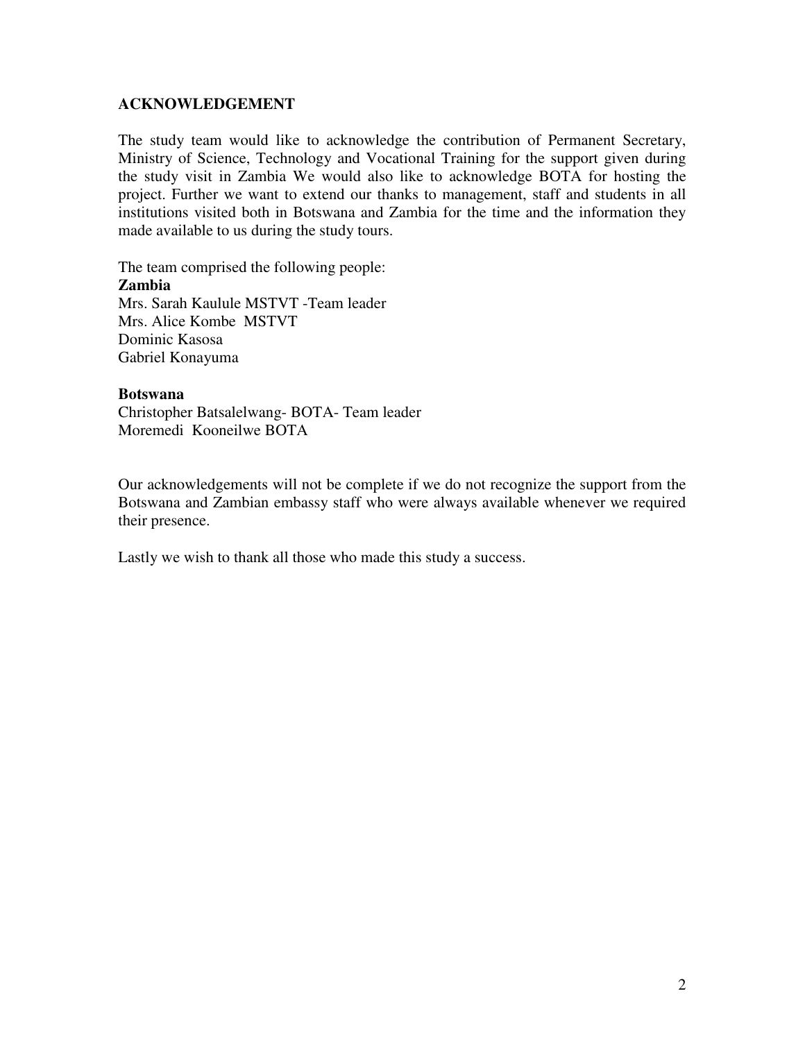#### **ACKNOWLEDGEMENT**

The study team would like to acknowledge the contribution of Permanent Secretary, Ministry of Science, Technology and Vocational Training for the support given during the study visit in Zambia We would also like to acknowledge BOTA for hosting the project. Further we want to extend our thanks to management, staff and students in all institutions visited both in Botswana and Zambia for the time and the information they made available to us during the study tours.

The team comprised the following people: **Zambia**  Mrs. Sarah Kaulule MSTVT -Team leader Mrs. Alice Kombe MSTVT Dominic Kasosa Gabriel Konayuma

#### **Botswana**

Christopher Batsalelwang- BOTA- Team leader Moremedi Kooneilwe BOTA

Our acknowledgements will not be complete if we do not recognize the support from the Botswana and Zambian embassy staff who were always available whenever we required their presence.

Lastly we wish to thank all those who made this study a success.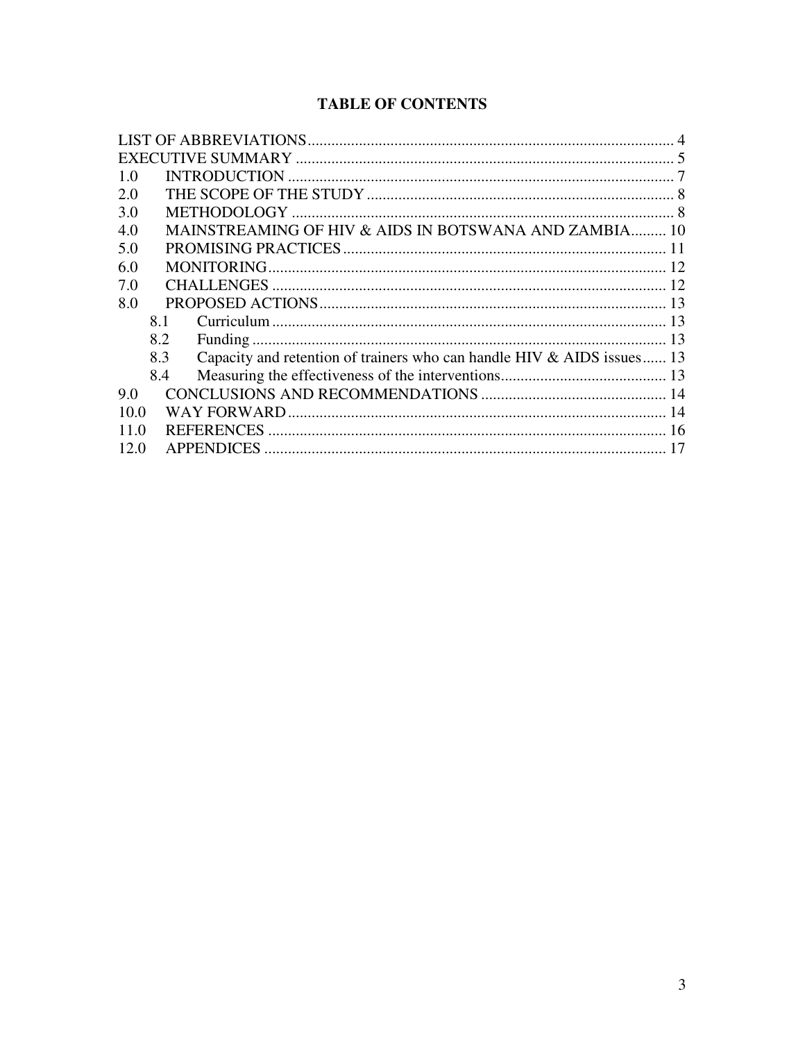### **TABLE OF CONTENTS**

| 1.0  |     |                                                                        |  |
|------|-----|------------------------------------------------------------------------|--|
| 2.0  |     |                                                                        |  |
| 3.0  |     |                                                                        |  |
| 4.0  |     | MAINSTREAMING OF HIV & AIDS IN BOTSWANA AND ZAMBIA 10                  |  |
| 5.0  |     |                                                                        |  |
| 6.0  |     |                                                                        |  |
| 7.0  |     |                                                                        |  |
| 8.0  |     |                                                                        |  |
|      | 8.1 |                                                                        |  |
|      | 8.2 |                                                                        |  |
|      | 8.3 | Capacity and retention of trainers who can handle HIV & AIDS issues 13 |  |
|      | 8.4 |                                                                        |  |
| 9.0  |     |                                                                        |  |
| 10.0 |     |                                                                        |  |
| 11.0 |     |                                                                        |  |
| 12.0 |     | <b>APPENDICES</b>                                                      |  |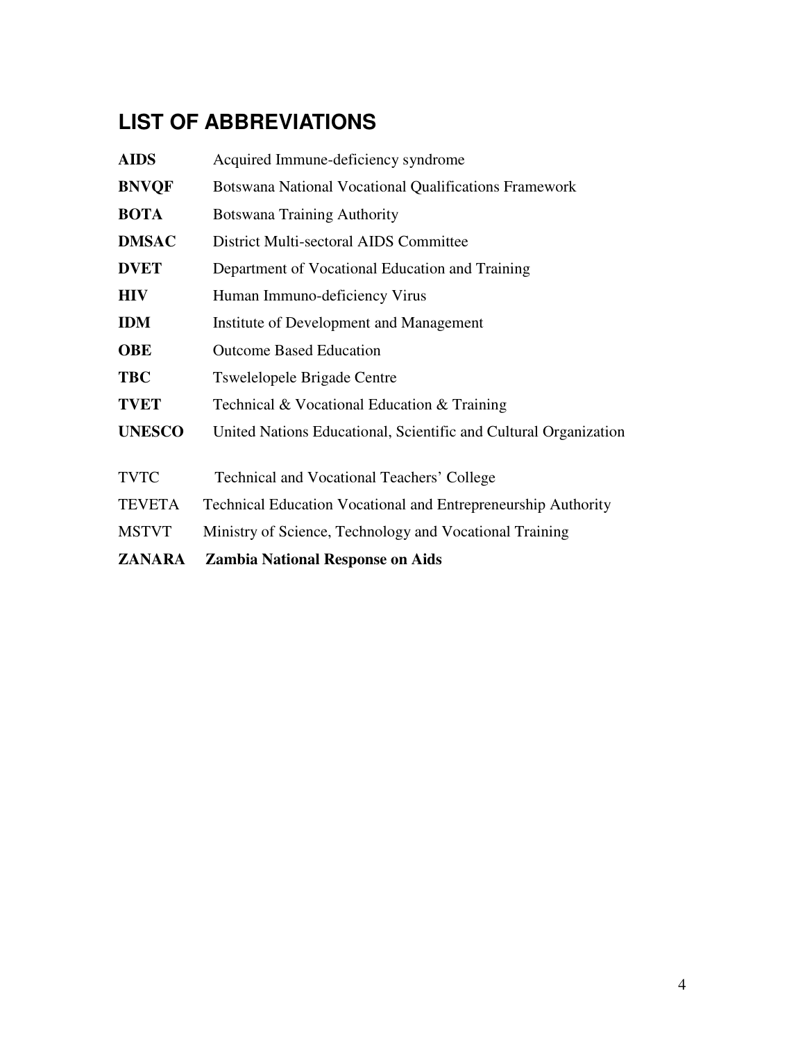# **LIST OF ABBREVIATIONS**

| <b>ZANARA</b> | <b>Zambia National Response on Aids</b>                              |  |  |
|---------------|----------------------------------------------------------------------|--|--|
| <b>MSTVT</b>  | Ministry of Science, Technology and Vocational Training              |  |  |
| <b>TEVETA</b> | <b>Technical Education Vocational and Entrepreneurship Authority</b> |  |  |
| <b>TVTC</b>   | Technical and Vocational Teachers' College                           |  |  |
| <b>UNESCO</b> | United Nations Educational, Scientific and Cultural Organization     |  |  |
| <b>TVET</b>   | Technical & Vocational Education & Training                          |  |  |
| <b>TBC</b>    | <b>Tswelelopele Brigade Centre</b>                                   |  |  |
| <b>OBE</b>    | <b>Outcome Based Education</b>                                       |  |  |
| <b>IDM</b>    | Institute of Development and Management                              |  |  |
| <b>HIV</b>    | Human Immuno-deficiency Virus                                        |  |  |
| <b>DVET</b>   | Department of Vocational Education and Training                      |  |  |
| <b>DMSAC</b>  | District Multi-sectoral AIDS Committee                               |  |  |
| <b>BOTA</b>   | <b>Botswana Training Authority</b>                                   |  |  |
| <b>BNVQF</b>  | Botswana National Vocational Qualifications Framework                |  |  |
| <b>AIDS</b>   | Acquired Immune-deficiency syndrome                                  |  |  |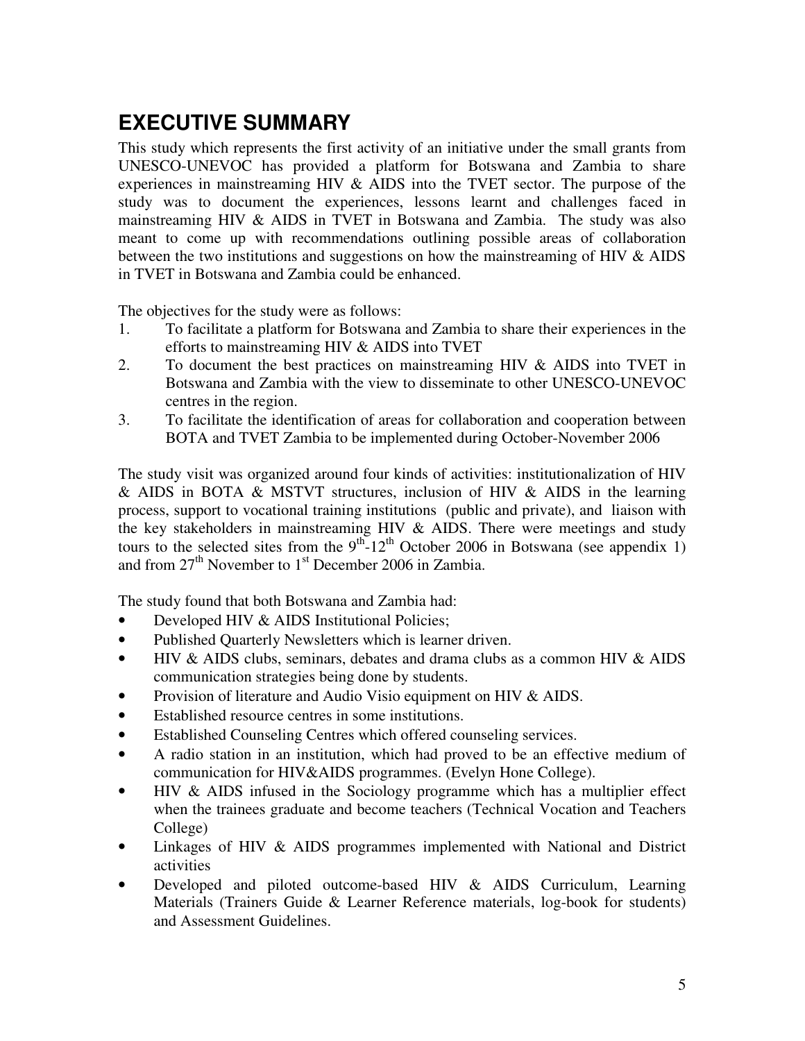# **EXECUTIVE SUMMARY**

This study which represents the first activity of an initiative under the small grants from UNESCO-UNEVOC has provided a platform for Botswana and Zambia to share experiences in mainstreaming HIV & AIDS into the TVET sector. The purpose of the study was to document the experiences, lessons learnt and challenges faced in mainstreaming HIV & AIDS in TVET in Botswana and Zambia. The study was also meant to come up with recommendations outlining possible areas of collaboration between the two institutions and suggestions on how the mainstreaming of HIV  $\&$  AIDS in TVET in Botswana and Zambia could be enhanced.

The objectives for the study were as follows:

- 1. To facilitate a platform for Botswana and Zambia to share their experiences in the efforts to mainstreaming HIV & AIDS into TVET
- 2. To document the best practices on mainstreaming HIV & AIDS into TVET in Botswana and Zambia with the view to disseminate to other UNESCO-UNEVOC centres in the region.
- 3. To facilitate the identification of areas for collaboration and cooperation between BOTA and TVET Zambia to be implemented during October-November 2006

The study visit was organized around four kinds of activities: institutionalization of HIV & AIDS in BOTA & MSTVT structures, inclusion of HIV & AIDS in the learning process, support to vocational training institutions (public and private), and liaison with the key stakeholders in mainstreaming HIV & AIDS. There were meetings and study tours to the selected sites from the  $9<sup>th</sup>$ -12<sup>th</sup> October 2006 in Botswana (see appendix 1) and from  $27<sup>th</sup>$  November to  $1<sup>st</sup>$  December 2006 in Zambia.

The study found that both Botswana and Zambia had:

- Developed HIV & AIDS Institutional Policies;
- Published Quarterly Newsletters which is learner driven.
- HIV & AIDS clubs, seminars, debates and drama clubs as a common HIV & AIDS communication strategies being done by students.
- Provision of literature and Audio Visio equipment on HIV & AIDS.
- Established resource centres in some institutions.
- Established Counseling Centres which offered counseling services.
- A radio station in an institution, which had proved to be an effective medium of communication for HIV&AIDS programmes. (Evelyn Hone College).
- HIV & AIDS infused in the Sociology programme which has a multiplier effect when the trainees graduate and become teachers (Technical Vocation and Teachers College)
- Linkages of HIV & AIDS programmes implemented with National and District activities
- Developed and piloted outcome-based HIV & AIDS Curriculum, Learning Materials (Trainers Guide & Learner Reference materials, log-book for students) and Assessment Guidelines.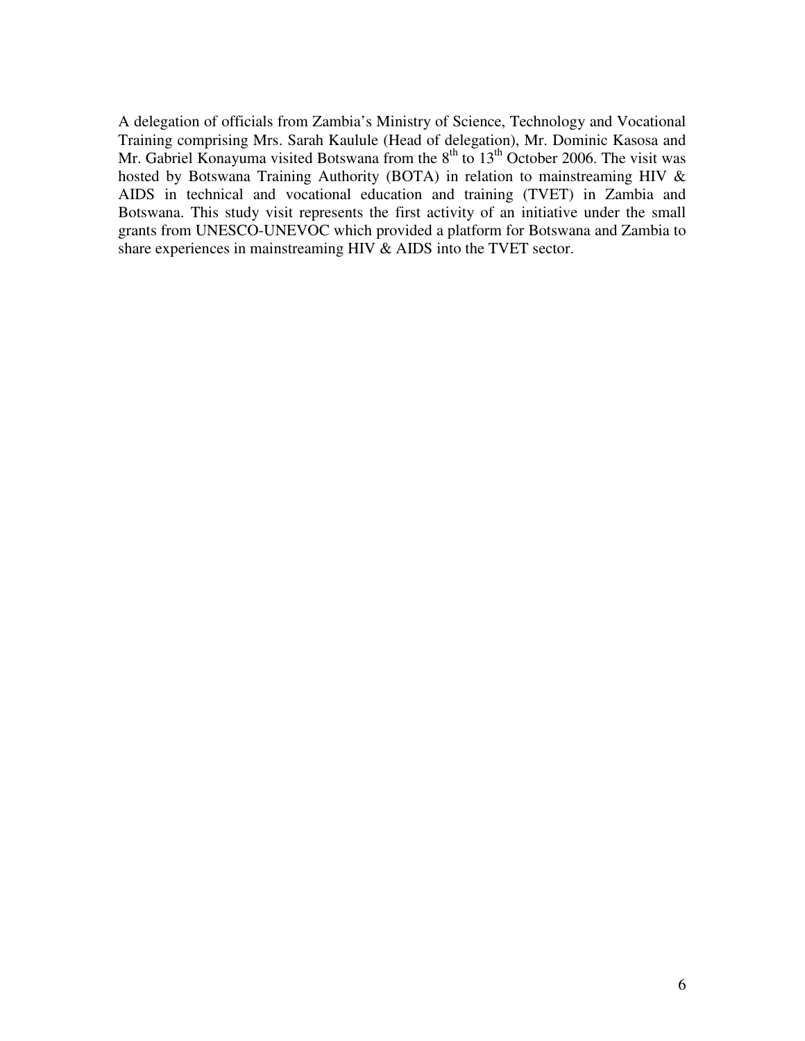A delegation of officials from Zambia's Ministry of Science, Technology and Vocational Training comprising Mrs. Sarah Kaulule (Head of delegation), Mr. Dominic Kasosa and Mr. Gabriel Konayuma visited Botswana from the  $8<sup>th</sup>$  to  $13<sup>th</sup>$  October 2006. The visit was hosted by Botswana Training Authority (BOTA) in relation to mainstreaming HIV & AIDS in technical and vocational education and training (TVET) in Zambia and Botswana. This study visit represents the first activity of an initiative under the small grants from UNESCO-UNEVOC which provided a platform for Botswana and Zambia to share experiences in mainstreaming HIV & AIDS into the TVET sector.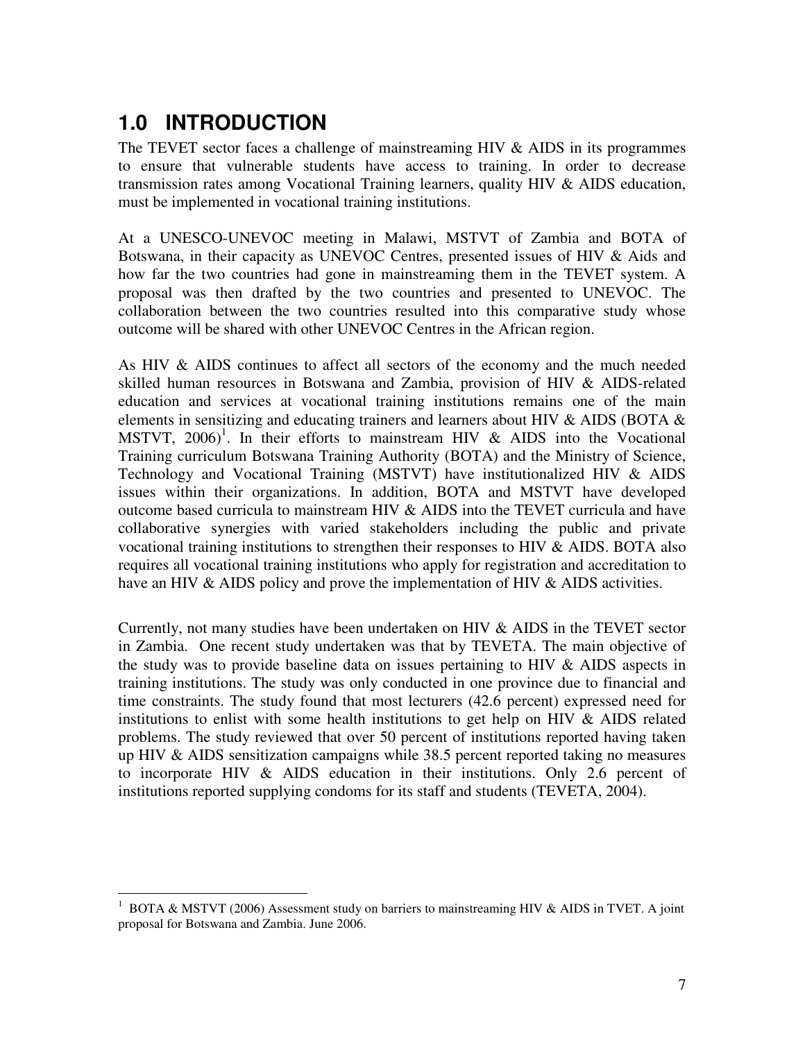# **1.0 INTRODUCTION**

 $\overline{a}$ 

The TEVET sector faces a challenge of mainstreaming HIV & AIDS in its programmes to ensure that vulnerable students have access to training. In order to decrease transmission rates among Vocational Training learners, quality HIV & AIDS education, must be implemented in vocational training institutions.

At a UNESCO-UNEVOC meeting in Malawi, MSTVT of Zambia and BOTA of Botswana, in their capacity as UNEVOC Centres, presented issues of HIV & Aids and how far the two countries had gone in mainstreaming them in the TEVET system. A proposal was then drafted by the two countries and presented to UNEVOC. The collaboration between the two countries resulted into this comparative study whose outcome will be shared with other UNEVOC Centres in the African region.

As HIV & AIDS continues to affect all sectors of the economy and the much needed skilled human resources in Botswana and Zambia, provision of HIV & AIDS-related education and services at vocational training institutions remains one of the main elements in sensitizing and educating trainers and learners about HIV & AIDS (BOTA & MSTVT,  $2006$ <sup>1</sup>. In their efforts to mainstream HIV & AIDS into the Vocational Training curriculum Botswana Training Authority (BOTA) and the Ministry of Science, Technology and Vocational Training (MSTVT) have institutionalized HIV & AIDS issues within their organizations. In addition, BOTA and MSTVT have developed outcome based curricula to mainstream HIV & AIDS into the TEVET curricula and have collaborative synergies with varied stakeholders including the public and private vocational training institutions to strengthen their responses to HIV & AIDS. BOTA also requires all vocational training institutions who apply for registration and accreditation to have an HIV & AIDS policy and prove the implementation of HIV & AIDS activities.

Currently, not many studies have been undertaken on HIV & AIDS in the TEVET sector in Zambia. One recent study undertaken was that by TEVETA. The main objective of the study was to provide baseline data on issues pertaining to HIV  $\&$  AIDS aspects in training institutions. The study was only conducted in one province due to financial and time constraints. The study found that most lecturers (42.6 percent) expressed need for institutions to enlist with some health institutions to get help on HIV  $\&$  AIDS related problems. The study reviewed that over 50 percent of institutions reported having taken up HIV & AIDS sensitization campaigns while 38.5 percent reported taking no measures to incorporate HIV & AIDS education in their institutions. Only 2.6 percent of institutions reported supplying condoms for its staff and students (TEVETA, 2004).

<sup>&</sup>lt;sup>1</sup> BOTA & MSTVT (2006) Assessment study on barriers to mainstreaming HIV & AIDS in TVET. A joint proposal for Botswana and Zambia. June 2006.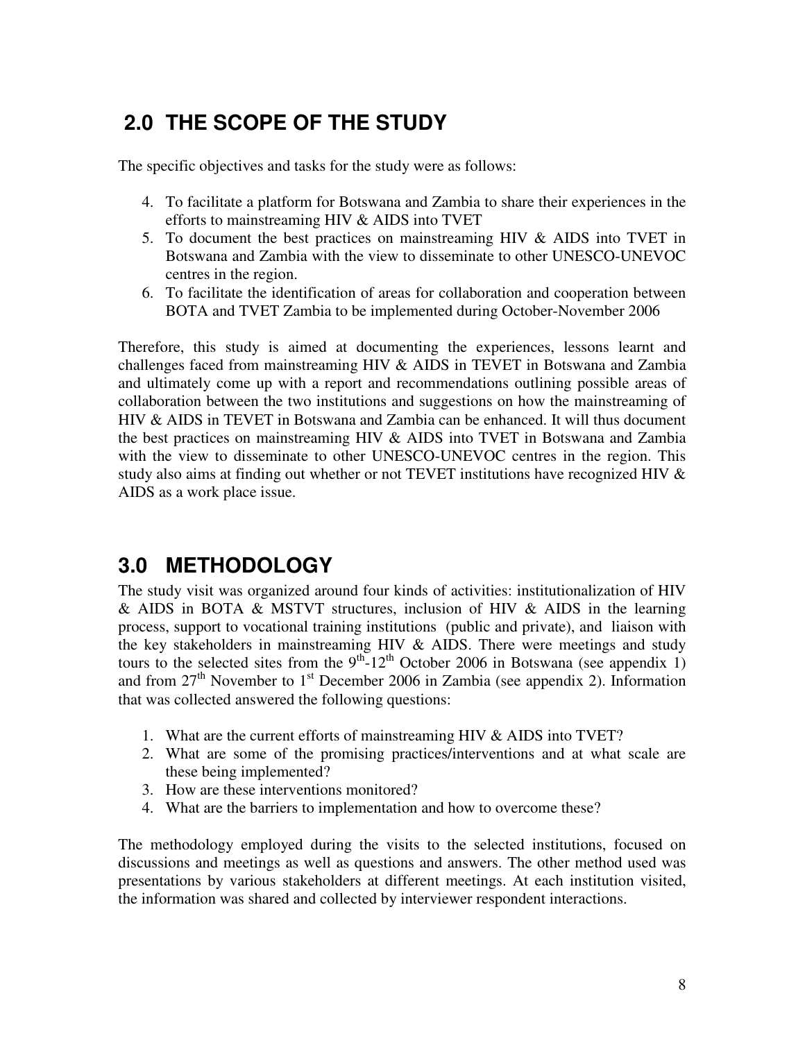# **2.0 THE SCOPE OF THE STUDY**

The specific objectives and tasks for the study were as follows:

- 4. To facilitate a platform for Botswana and Zambia to share their experiences in the efforts to mainstreaming HIV & AIDS into TVET
- 5. To document the best practices on mainstreaming HIV & AIDS into TVET in Botswana and Zambia with the view to disseminate to other UNESCO-UNEVOC centres in the region.
- 6. To facilitate the identification of areas for collaboration and cooperation between BOTA and TVET Zambia to be implemented during October-November 2006

Therefore, this study is aimed at documenting the experiences, lessons learnt and challenges faced from mainstreaming HIV & AIDS in TEVET in Botswana and Zambia and ultimately come up with a report and recommendations outlining possible areas of collaboration between the two institutions and suggestions on how the mainstreaming of HIV & AIDS in TEVET in Botswana and Zambia can be enhanced. It will thus document the best practices on mainstreaming HIV & AIDS into TVET in Botswana and Zambia with the view to disseminate to other UNESCO-UNEVOC centres in the region. This study also aims at finding out whether or not TEVET institutions have recognized HIV & AIDS as a work place issue.

## **3.0 METHODOLOGY**

The study visit was organized around four kinds of activities: institutionalization of HIV & AIDS in BOTA & MSTVT structures, inclusion of HIV & AIDS in the learning process, support to vocational training institutions (public and private), and liaison with the key stakeholders in mainstreaming HIV  $\&$  AIDS. There were meetings and study tours to the selected sites from the  $9<sup>th</sup>$ -12<sup>th</sup> October 2006 in Botswana (see appendix 1) and from  $27<sup>th</sup>$  November to  $1<sup>st</sup>$  December 2006 in Zambia (see appendix 2). Information that was collected answered the following questions:

- 1. What are the current efforts of mainstreaming HIV & AIDS into TVET?
- 2. What are some of the promising practices/interventions and at what scale are these being implemented?
- 3. How are these interventions monitored?
- 4. What are the barriers to implementation and how to overcome these?

The methodology employed during the visits to the selected institutions, focused on discussions and meetings as well as questions and answers. The other method used was presentations by various stakeholders at different meetings. At each institution visited, the information was shared and collected by interviewer respondent interactions.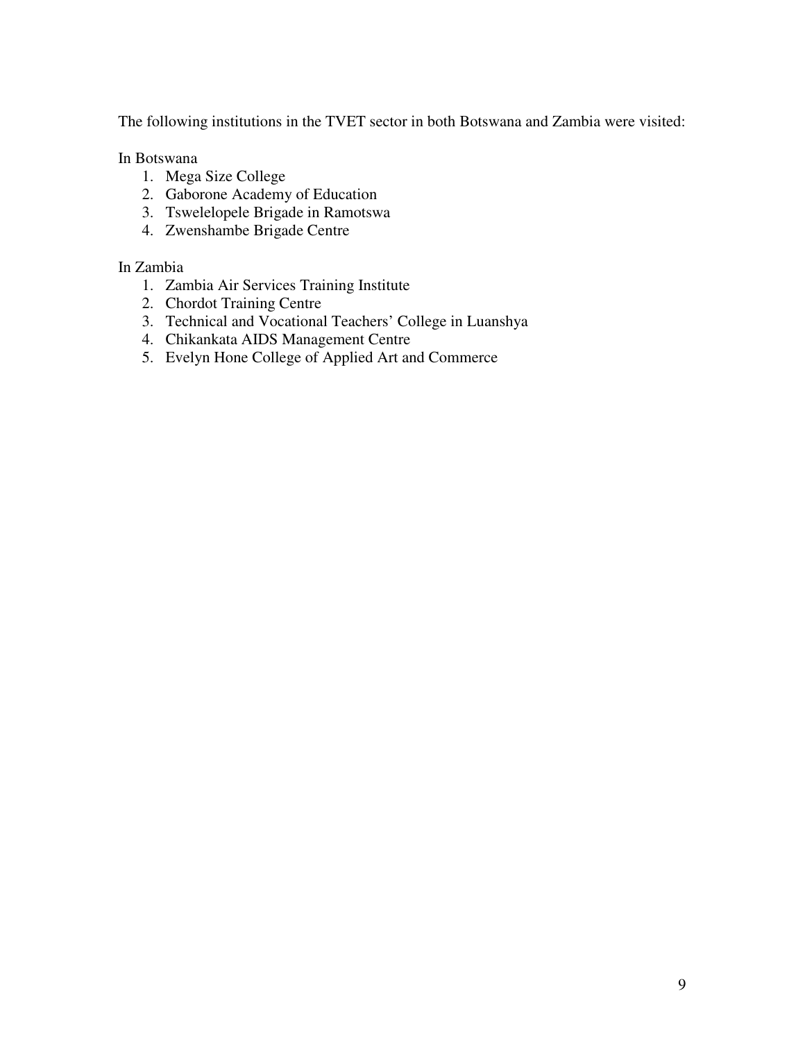The following institutions in the TVET sector in both Botswana and Zambia were visited:

In Botswana

- 1. Mega Size College
- 2. Gaborone Academy of Education
- 3. Tswelelopele Brigade in Ramotswa
- 4. Zwenshambe Brigade Centre

#### In Zambia

- 1. Zambia Air Services Training Institute
- 2. Chordot Training Centre
- 3. Technical and Vocational Teachers' College in Luanshya
- 4. Chikankata AIDS Management Centre
- 5. Evelyn Hone College of Applied Art and Commerce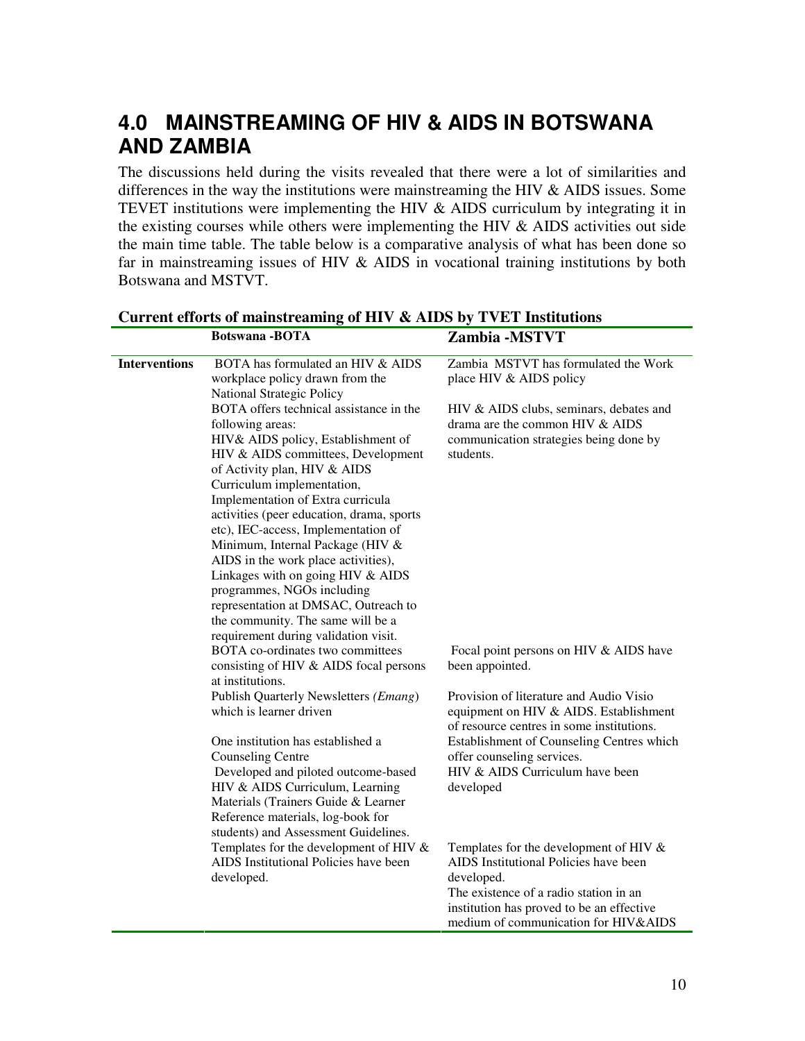## **4.0 MAINSTREAMING OF HIV & AIDS IN BOTSWANA AND ZAMBIA**

The discussions held during the visits revealed that there were a lot of similarities and differences in the way the institutions were mainstreaming the HIV & AIDS issues. Some TEVET institutions were implementing the HIV & AIDS curriculum by integrating it in the existing courses while others were implementing the HIV & AIDS activities out side the main time table. The table below is a comparative analysis of what has been done so far in mainstreaming issues of HIV & AIDS in vocational training institutions by both Botswana and MSTVT.

| <b>Interventions</b> | BOTA has formulated an HIV & AIDS         | Zambia MSTVT has formulated the Work      |
|----------------------|-------------------------------------------|-------------------------------------------|
|                      | workplace policy drawn from the           | place HIV & AIDS policy                   |
|                      | National Strategic Policy                 |                                           |
|                      | BOTA offers technical assistance in the   | HIV & AIDS clubs, seminars, debates and   |
|                      | following areas:                          | drama are the common HIV & AIDS           |
|                      | HIV& AIDS policy, Establishment of        | communication strategies being done by    |
|                      | HIV & AIDS committees, Development        | students.                                 |
|                      | of Activity plan, HIV & AIDS              |                                           |
|                      | Curriculum implementation,                |                                           |
|                      | Implementation of Extra curricula         |                                           |
|                      | activities (peer education, drama, sports |                                           |
|                      | etc), IEC-access, Implementation of       |                                           |
|                      | Minimum, Internal Package (HIV &          |                                           |
|                      | AIDS in the work place activities),       |                                           |
|                      | Linkages with on going HIV & AIDS         |                                           |
|                      | programmes, NGOs including                |                                           |
|                      | representation at DMSAC, Outreach to      |                                           |
|                      | the community. The same will be a         |                                           |
|                      | requirement during validation visit.      |                                           |
|                      | BOTA co-ordinates two committees          | Focal point persons on HIV & AIDS have    |
|                      | consisting of HIV & AIDS focal persons    | been appointed.                           |
|                      | at institutions.                          |                                           |
|                      | Publish Quarterly Newsletters (Emang)     | Provision of literature and Audio Visio   |
|                      | which is learner driven                   | equipment on HIV & AIDS. Establishment    |
|                      |                                           | of resource centres in some institutions. |
|                      | One institution has established a         | Establishment of Counseling Centres which |
|                      | <b>Counseling Centre</b>                  | offer counseling services.                |
|                      | Developed and piloted outcome-based       | HIV & AIDS Curriculum have been           |
|                      | HIV & AIDS Curriculum, Learning           | developed                                 |
|                      | Materials (Trainers Guide & Learner       |                                           |
|                      | Reference materials, log-book for         |                                           |
|                      | students) and Assessment Guidelines.      |                                           |
|                      | Templates for the development of HIV $&$  | Templates for the development of HIV $\&$ |
|                      | AIDS Institutional Policies have been     | AIDS Institutional Policies have been     |
|                      | developed.                                | developed.                                |
|                      |                                           | The existence of a radio station in an    |
|                      |                                           | institution has proved to be an effective |
|                      |                                           | medium of communication for HIV&AIDS      |

#### **Current efforts of mainstreaming of HIV & AIDS by TVET Institutions Botswana -BOTA Zambia -MSTVT**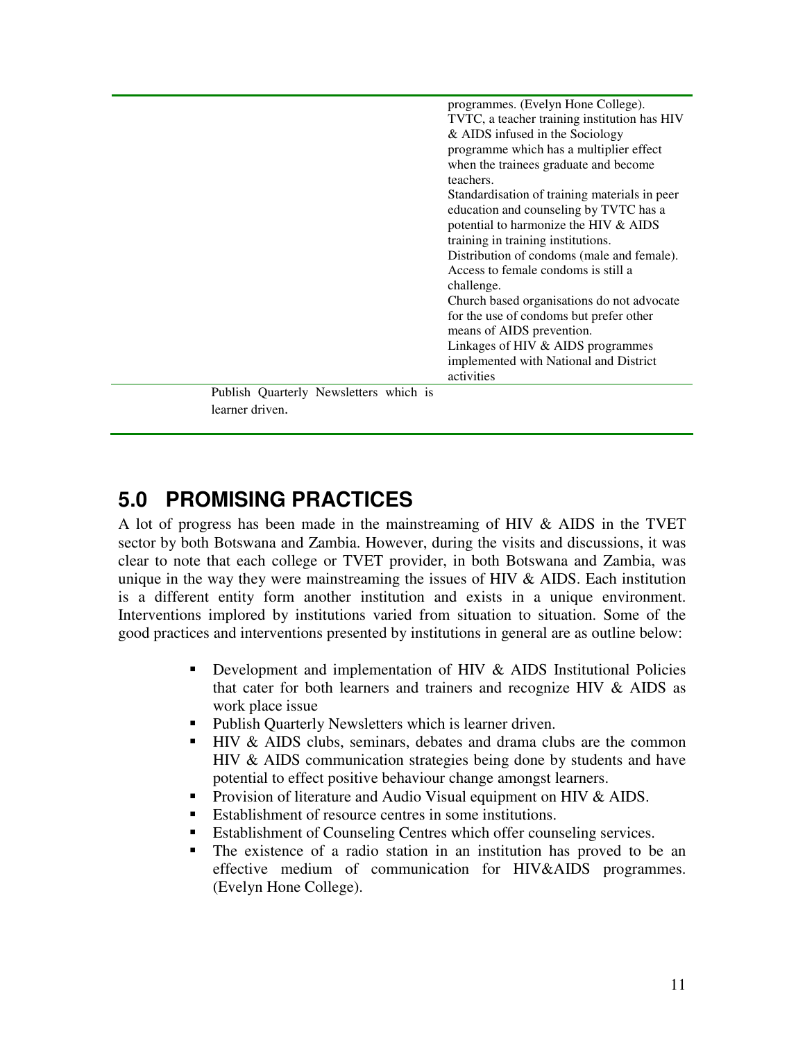|                                        | programmes. (Evelyn Hone College).            |
|----------------------------------------|-----------------------------------------------|
|                                        | TVTC, a teacher training institution has HIV  |
|                                        | $&$ AIDS infused in the Sociology             |
|                                        | programme which has a multiplier effect       |
|                                        | when the trainees graduate and become         |
|                                        | teachers.                                     |
|                                        | Standardisation of training materials in peer |
|                                        | education and counseling by TVTC has a        |
|                                        | potential to harmonize the HIV & AIDS         |
|                                        | training in training institutions.            |
|                                        | Distribution of condoms (male and female).    |
|                                        | Access to female condoms is still a           |
|                                        | challenge.                                    |
|                                        | Church based organisations do not advocate    |
|                                        | for the use of condoms but prefer other       |
|                                        | means of AIDS prevention.                     |
|                                        | Linkages of HIV $&$ AIDS programmes           |
|                                        | implemented with National and District        |
|                                        | activities                                    |
| Publish Quarterly Newsletters which is |                                               |
| learner driven.                        |                                               |

## **5.0 PROMISING PRACTICES**

A lot of progress has been made in the mainstreaming of HIV & AIDS in the TVET sector by both Botswana and Zambia. However, during the visits and discussions, it was clear to note that each college or TVET provider, in both Botswana and Zambia, was unique in the way they were mainstreaming the issues of HIV  $\&$  AIDS. Each institution is a different entity form another institution and exists in a unique environment. Interventions implored by institutions varied from situation to situation. Some of the good practices and interventions presented by institutions in general are as outline below:

- Development and implementation of HIV & AIDS Institutional Policies that cater for both learners and trainers and recognize HIV & AIDS as work place issue
- Publish Quarterly Newsletters which is learner driven.
- **HIV & AIDS** clubs, seminars, debates and drama clubs are the common HIV & AIDS communication strategies being done by students and have potential to effect positive behaviour change amongst learners.
- **Provision of literature and Audio Visual equipment on HIV & AIDS.**
- Establishment of resource centres in some institutions.
- Establishment of Counseling Centres which offer counseling services.
- The existence of a radio station in an institution has proved to be an effective medium of communication for HIV&AIDS programmes. (Evelyn Hone College).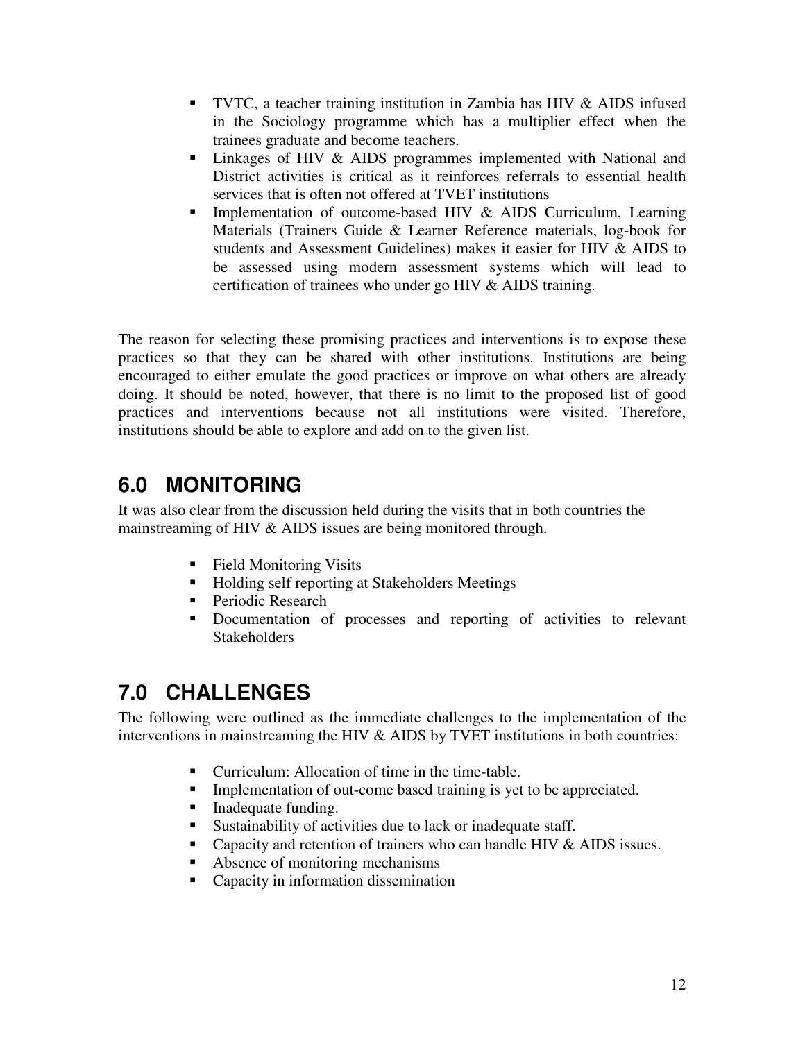- **TVTC, a teacher training institution in Zambia has HIV**  $\&$  **AIDS infused** in the Sociology programme which has a multiplier effect when the trainees graduate and become teachers.
- Linkages of HIV & AIDS programmes implemented with National and District activities is critical as it reinforces referrals to essential health services that is often not offered at TVET institutions
- **Implementation of outcome-based HIV & AIDS Curriculum, Learning** Materials (Trainers Guide & Learner Reference materials, log-book for students and Assessment Guidelines) makes it easier for HIV & AIDS to be assessed using modern assessment systems which will lead to certification of trainees who under go HIV & AIDS training.

The reason for selecting these promising practices and interventions is to expose these practices so that they can be shared with other institutions. Institutions are being encouraged to either emulate the good practices or improve on what others are already doing. It should be noted, however, that there is no limit to the proposed list of good practices and interventions because not all institutions were visited. Therefore, institutions should be able to explore and add on to the given list.

## **6.0 MONITORING**

It was also clear from the discussion held during the visits that in both countries the mainstreaming of HIV & AIDS issues are being monitored through.

- Field Monitoring Visits
- Holding self reporting at Stakeholders Meetings
- Periodic Research
- Documentation of processes and reporting of activities to relevant Stakeholders

# **7.0 CHALLENGES**

The following were outlined as the immediate challenges to the implementation of the interventions in mainstreaming the HIV & AIDS by TVET institutions in both countries:

- Curriculum: Allocation of time in the time-table.
- **Implementation of out-come based training is yet to be appreciated.**
- Inadequate funding.
- Sustainability of activities due to lack or inadequate staff.
- Capacity and retention of trainers who can handle HIV  $&$  AIDS issues.
- Absence of monitoring mechanisms
- Capacity in information dissemination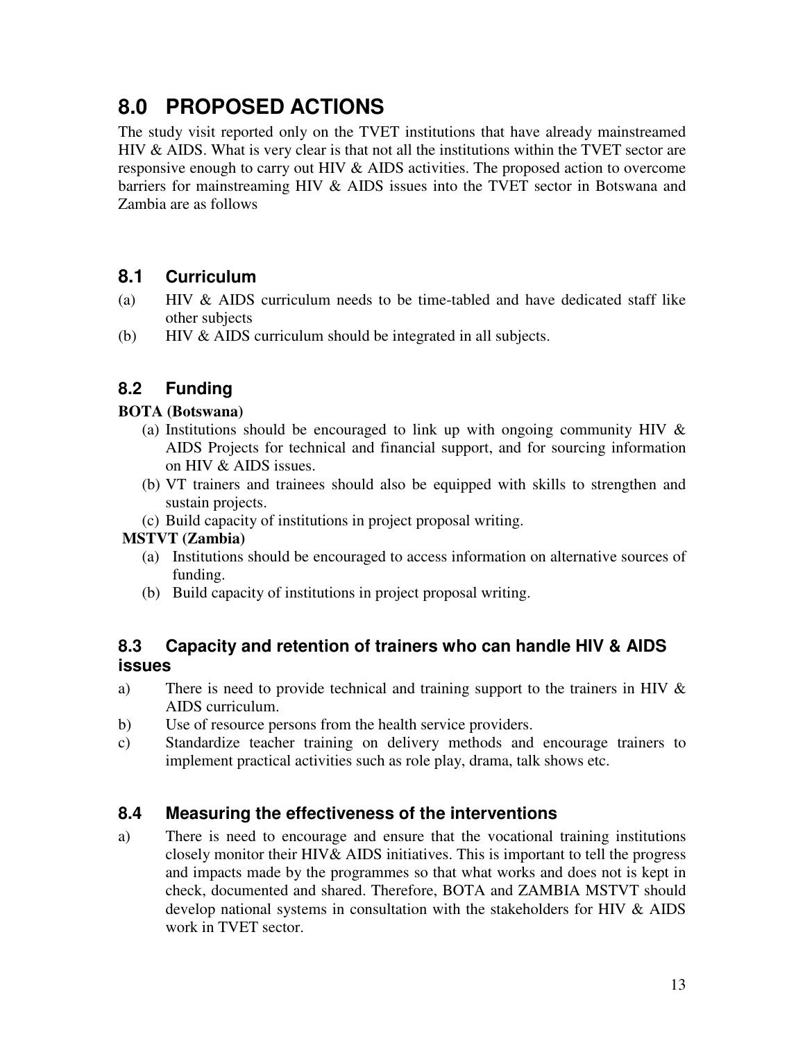# **8.0 PROPOSED ACTIONS**

The study visit reported only on the TVET institutions that have already mainstreamed HIV & AIDS. What is very clear is that not all the institutions within the TVET sector are responsive enough to carry out HIV & AIDS activities. The proposed action to overcome barriers for mainstreaming HIV & AIDS issues into the TVET sector in Botswana and Zambia are as follows

### **8.1 Curriculum**

- (a) HIV & AIDS curriculum needs to be time-tabled and have dedicated staff like other subjects
- (b) HIV & AIDS curriculum should be integrated in all subjects.

### **8.2 Funding**

### **BOTA (Botswana)**

- (a) Institutions should be encouraged to link up with ongoing community HIV  $\&$ AIDS Projects for technical and financial support, and for sourcing information on HIV & AIDS issues.
- (b) VT trainers and trainees should also be equipped with skills to strengthen and sustain projects.
- (c) Build capacity of institutions in project proposal writing.

### **MSTVT (Zambia)**

- (a) Institutions should be encouraged to access information on alternative sources of funding.
- (b) Build capacity of institutions in project proposal writing.

### **8.3 Capacity and retention of trainers who can handle HIV & AIDS issues**

- a) There is need to provide technical and training support to the trainers in HIV & AIDS curriculum.
- b) Use of resource persons from the health service providers.
- c) Standardize teacher training on delivery methods and encourage trainers to implement practical activities such as role play, drama, talk shows etc.

### **8.4 Measuring the effectiveness of the interventions**

a) There is need to encourage and ensure that the vocational training institutions closely monitor their HIV& AIDS initiatives. This is important to tell the progress and impacts made by the programmes so that what works and does not is kept in check, documented and shared. Therefore, BOTA and ZAMBIA MSTVT should develop national systems in consultation with the stakeholders for HIV & AIDS work in TVET sector.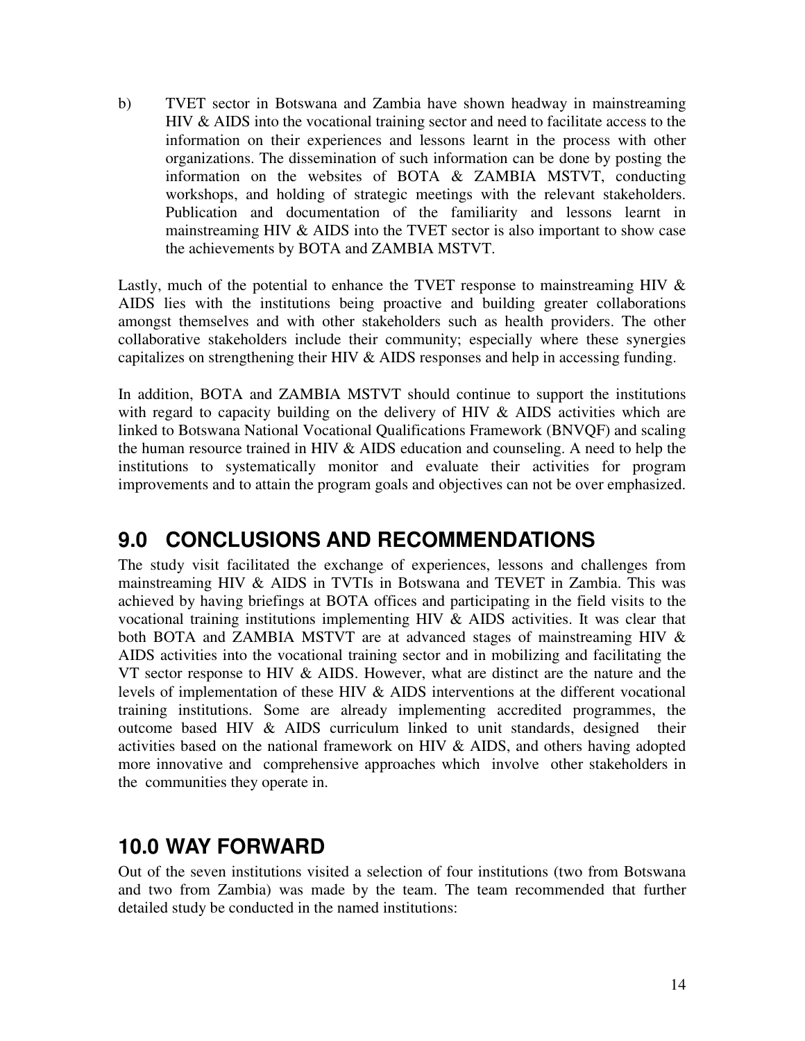b) TVET sector in Botswana and Zambia have shown headway in mainstreaming HIV & AIDS into the vocational training sector and need to facilitate access to the information on their experiences and lessons learnt in the process with other organizations. The dissemination of such information can be done by posting the information on the websites of BOTA & ZAMBIA MSTVT, conducting workshops, and holding of strategic meetings with the relevant stakeholders. Publication and documentation of the familiarity and lessons learnt in mainstreaming HIV & AIDS into the TVET sector is also important to show case the achievements by BOTA and ZAMBIA MSTVT.

Lastly, much of the potential to enhance the TVET response to mainstreaming HIV  $\&$ AIDS lies with the institutions being proactive and building greater collaborations amongst themselves and with other stakeholders such as health providers. The other collaborative stakeholders include their community; especially where these synergies capitalizes on strengthening their HIV & AIDS responses and help in accessing funding.

In addition, BOTA and ZAMBIA MSTVT should continue to support the institutions with regard to capacity building on the delivery of HIV  $\&$  AIDS activities which are linked to Botswana National Vocational Qualifications Framework (BNVQF) and scaling the human resource trained in HIV & AIDS education and counseling. A need to help the institutions to systematically monitor and evaluate their activities for program improvements and to attain the program goals and objectives can not be over emphasized.

## **9.0 CONCLUSIONS AND RECOMMENDATIONS**

The study visit facilitated the exchange of experiences, lessons and challenges from mainstreaming HIV & AIDS in TVTIs in Botswana and TEVET in Zambia. This was achieved by having briefings at BOTA offices and participating in the field visits to the vocational training institutions implementing HIV & AIDS activities. It was clear that both BOTA and ZAMBIA MSTVT are at advanced stages of mainstreaming HIV & AIDS activities into the vocational training sector and in mobilizing and facilitating the VT sector response to HIV & AIDS. However, what are distinct are the nature and the levels of implementation of these HIV & AIDS interventions at the different vocational training institutions. Some are already implementing accredited programmes, the outcome based HIV & AIDS curriculum linked to unit standards, designed their activities based on the national framework on HIV & AIDS, and others having adopted more innovative and comprehensive approaches which involve other stakeholders in the communities they operate in.

## **10.0 WAY FORWARD**

Out of the seven institutions visited a selection of four institutions (two from Botswana and two from Zambia) was made by the team. The team recommended that further detailed study be conducted in the named institutions: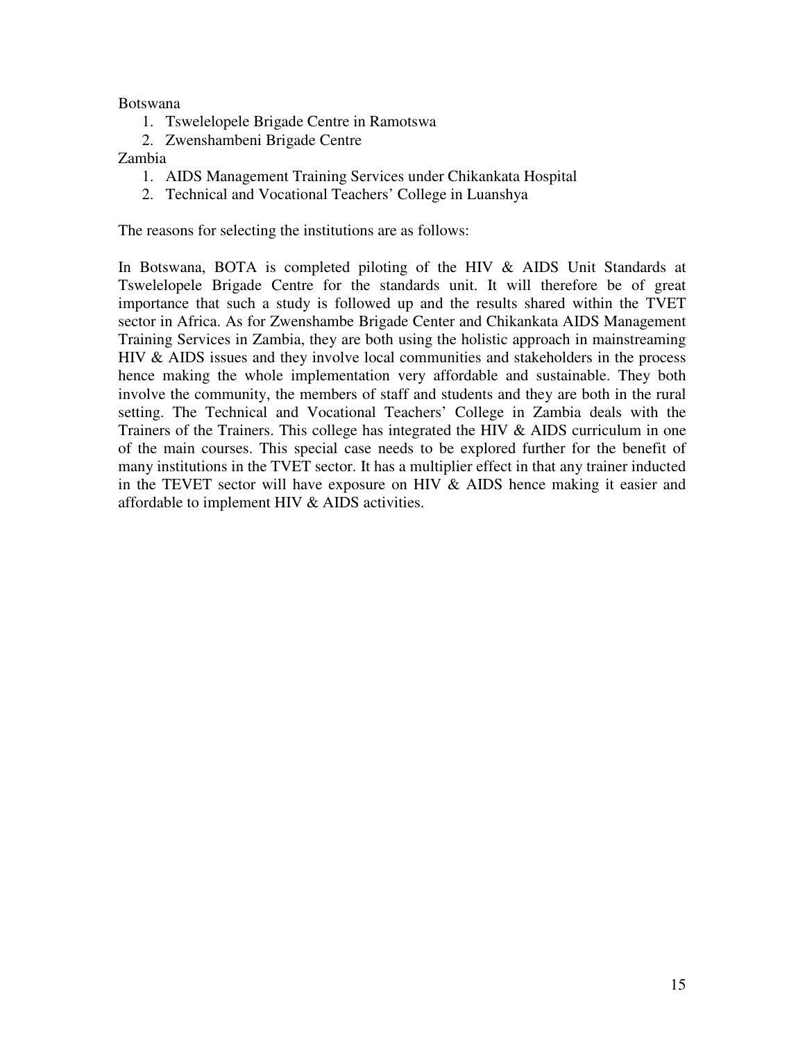Botswana

- 1. Tswelelopele Brigade Centre in Ramotswa
- 2. Zwenshambeni Brigade Centre

#### Zambia

- 1. AIDS Management Training Services under Chikankata Hospital
- 2. Technical and Vocational Teachers' College in Luanshya

The reasons for selecting the institutions are as follows:

In Botswana, BOTA is completed piloting of the HIV & AIDS Unit Standards at Tswelelopele Brigade Centre for the standards unit. It will therefore be of great importance that such a study is followed up and the results shared within the TVET sector in Africa. As for Zwenshambe Brigade Center and Chikankata AIDS Management Training Services in Zambia, they are both using the holistic approach in mainstreaming HIV & AIDS issues and they involve local communities and stakeholders in the process hence making the whole implementation very affordable and sustainable. They both involve the community, the members of staff and students and they are both in the rural setting. The Technical and Vocational Teachers' College in Zambia deals with the Trainers of the Trainers. This college has integrated the HIV & AIDS curriculum in one of the main courses. This special case needs to be explored further for the benefit of many institutions in the TVET sector. It has a multiplier effect in that any trainer inducted in the TEVET sector will have exposure on HIV & AIDS hence making it easier and affordable to implement HIV & AIDS activities.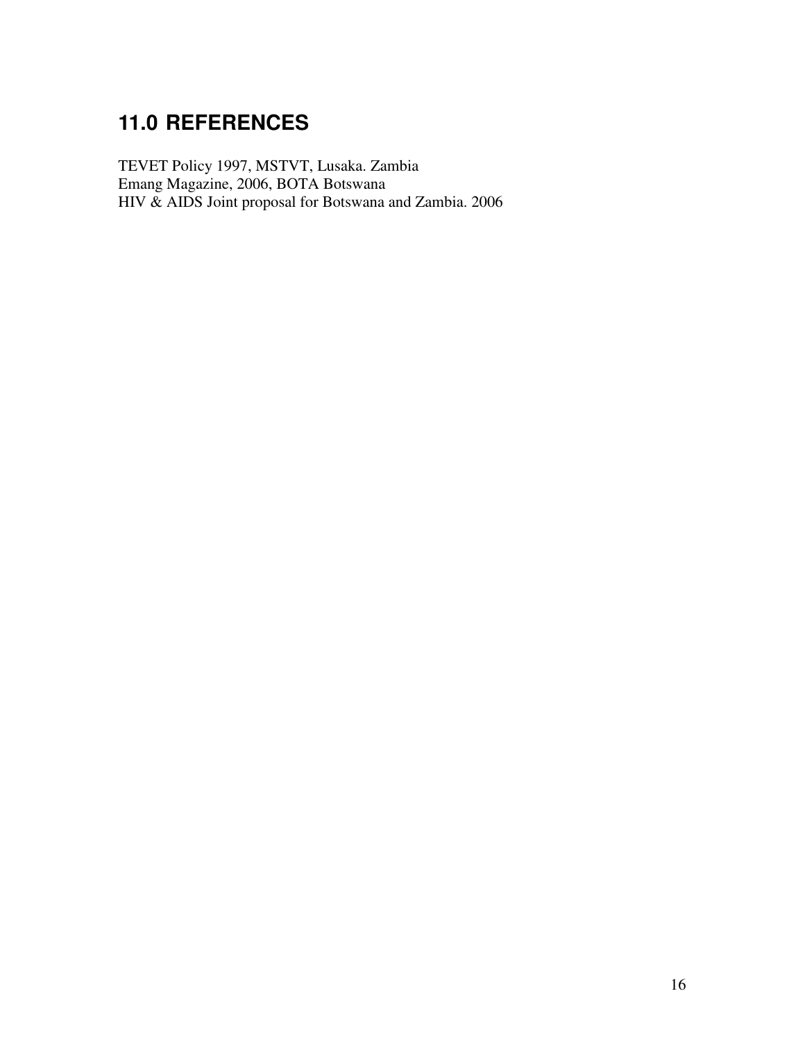# **11.0 REFERENCES**

TEVET Policy 1997, MSTVT, Lusaka. Zambia Emang Magazine, 2006, BOTA Botswana HIV & AIDS Joint proposal for Botswana and Zambia. 2006